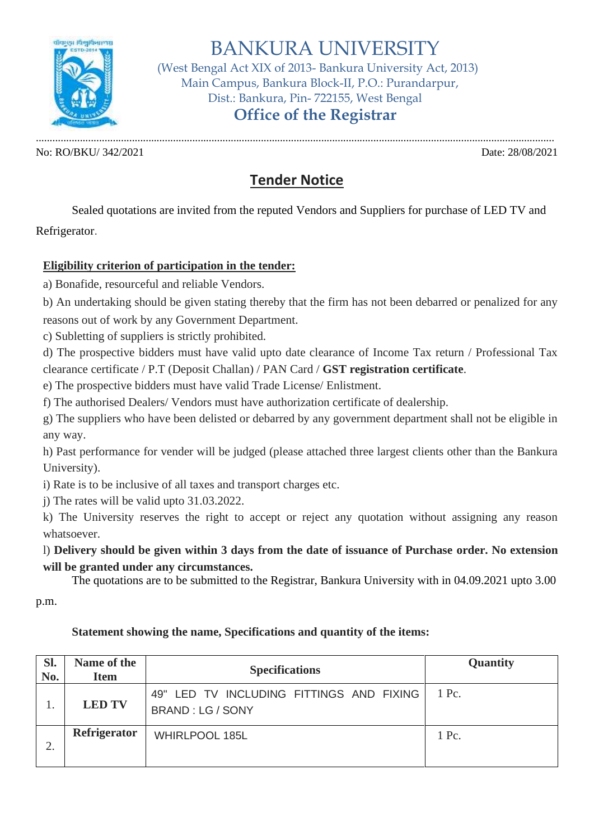

BANKURA UNIVERSITY

 (West Bengal Act XIX of 2013- Bankura University Act, 2013) Main Campus, Bankura Block-II, P.O.: Purandarpur, Dist.: Bankura, Pin- 722155, West Bengal

 **Office of the Registrar**

............................................................................................................................................................................................. No: RO/BKU/ 342/2021 Date: 28/08/2021

## **Tender Notice**

Sealed quotations are invited from the reputed Vendors and Suppliers for purchase of LED TV and

Refrigerator.

## **Eligibility criterion of participation in the tender:**

a) Bonafide, resourceful and reliable Vendors.

b) An undertaking should be given stating thereby that the firm has not been debarred or penalized for any reasons out of work by any Government Department.

c) Subletting of suppliers is strictly prohibited.

d) The prospective bidders must have valid upto date clearance of Income Tax return / Professional Tax clearance certificate / P.T (Deposit Challan) / PAN Card / **GST registration certificate**.

e) The prospective bidders must have valid Trade License/ Enlistment.

f) The authorised Dealers/ Vendors must have authorization certificate of dealership.

g) The suppliers who have been delisted or debarred by any government department shall not be eligible in any way.

h) Past performance for vender will be judged (please attached three largest clients other than the Bankura University).

i) Rate is to be inclusive of all taxes and transport charges etc.

j) The rates will be valid upto 31.03.2022.

k) The University reserves the right to accept or reject any quotation without assigning any reason whatsoever.

l) **Delivery should be given within 3 days from the date of issuance of Purchase order. No extension will be granted under any circumstances.**

The quotations are to be submitted to the Registrar, Bankura University with in 04.09.2021 upto 3.00

p.m.

## **Statement showing the name, Specifications and quantity of the items:**

| Sl.<br>No. | Name of the<br><b>Item</b> | <b>Specifications</b>                                               | Quantity |
|------------|----------------------------|---------------------------------------------------------------------|----------|
|            | <b>LED TV</b>              | 49" LED TV INCLUDING FITTINGS AND FIXING<br><b>BRAND: LG / SONY</b> | 1 Pc.    |
| $\bigcap$  | Refrigerator               | <b>WHIRLPOOL 185L</b>                                               | 1 Pc.    |